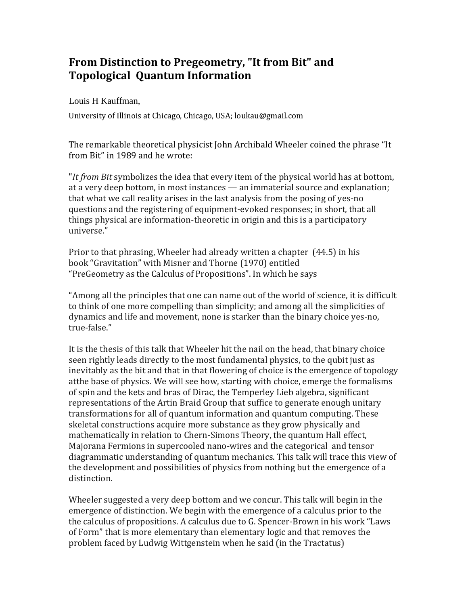## **From Distinction to Pregeometry, "It from Bit" and Topological Quantum Information**

Louis H Kauffman,

University of Illinois at Chicago, Chicago, USA; loukau@gmail.com

The remarkable theoretical physicist John Archibald Wheeler coined the phrase "It from Bit" in 1989 and he wrote:

"*It from Bit* symbolizes the idea that every item of the physical world has at bottom, at a very deep bottom, in most instances — an immaterial source and explanation; that what we call reality arises in the last analysis from the posing of yes-no questions and the registering of equipment-evoked responses; in short, that all things physical are information-theoretic in origin and this is a participatory universe."

Prior to that phrasing, Wheeler had already written a chapter (44.5) in his book "Gravitation" with Misner and Thorne (1970) entitled "PreGeometry as the Calculus of Propositions". In which he says

"Among all the principles that one can name out of the world of science, it is difficult to think of one more compelling than simplicity; and among all the simplicities of dynamics and life and movement, none is starker than the binary choice yes-no, true-false."

It is the thesis of this talk that Wheeler hit the nail on the head, that binary choice seen rightly leads directly to the most fundamental physics, to the qubit just as inevitably as the bit and that in that flowering of choice is the emergence of topology atthe base of physics. We will see how, starting with choice, emerge the formalisms of spin and the kets and bras of Dirac, the Temperley Lieb algebra, significant representations of the Artin Braid Group that suffice to generate enough unitary transformations for all of quantum information and quantum computing. These skeletal constructions acquire more substance as they grow physically and mathematically in relation to Chern-Simons Theory, the quantum Hall effect, Majorana Fermions in supercooled nano-wires and the categorical and tensor diagrammatic understanding of quantum mechanics. This talk will trace this view of the development and possibilities of physics from nothing but the emergence of a distinction.

Wheeler suggested a very deep bottom and we concur. This talk will begin in the emergence of distinction. We begin with the emergence of a calculus prior to the the calculus of propositions. A calculus due to G. Spencer-Brown in his work "Laws of Form" that is more elementary than elementary logic and that removes the problem faced by Ludwig Wittgenstein when he said (in the Tractatus)